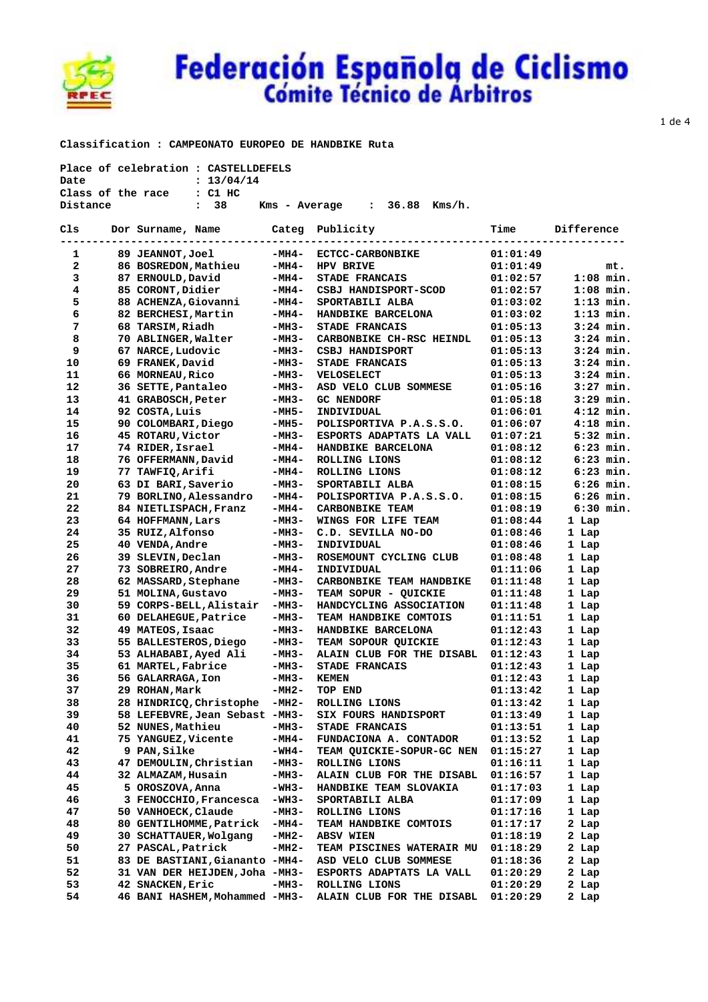

 **Classification : CAMPEONATO EUROPEO DE HANDBIKE Ruta** 

|                | Place of celebration : CASTELLDEFELS        |         |                                  |                          |             |
|----------------|---------------------------------------------|---------|----------------------------------|--------------------------|-------------|
| Date           | : 13/04/14                                  |         |                                  |                          |             |
|                | Class of the race : C1 HC                   |         |                                  |                          |             |
| Distance       | $\cdot$ 38                                  |         | $Kms - Average : 36.88 Kms/h.$   |                          |             |
| Cls            | Dor Surname, Name           Categ Publicity |         |                                  | Time                     | Difference  |
|                |                                             |         |                                  |                          |             |
| 1              | 89 JEANNOT,Joel                             |         | -MH4- ECTCC-CARBONBIKE           | 01:01:49                 |             |
| $2^{\circ}$    | 86 BOSREDON, Mathieu<br>87 ERNOULD, David   | -MH4-   | HPV BRIVE                        | 01:01:49<br>01:02:57     | mt.         |
| 3              |                                             | $-MH4-$ | <b>STADE FRANCAIS</b>            |                          | $1:08$ min. |
| $\overline{4}$ | 85 CORONT, Didier                           | -MH4-   | CSBJ HANDISPORT-SCOD             | 01:02:57                 | $1:08$ min. |
| 5              | 88 ACHENZA,Giovanni<br>82 BERCHESI.Martin   | -MH4-   | SPORTABILI ALBA                  | 01:03:02                 | $1:13$ min. |
| 6              | 82 BERCHESI, Martin                         | -MH4-   | <b>HANDBIKE BARCELONA</b>        | 01:03:02                 | $1:13$ min. |
| 7              | 68 TARSIM, Riadh                            | -мнз-   | STADE FRANCAIS                   | 01:05:13                 | $3:24$ min. |
| 8              | 70 ABLINGER, Walter                         | -MH3-   | CARBONBIKE CH-RSC HEINDL         | 01:05:13                 | $3:24$ min. |
| 9              | 67 NARCE, Ludovic                           | -MH3-   | CSBJ HANDISPORT                  | 01:05:13                 | $3:24$ min. |
| 10             | 69 FRANEK,David                             | -мнз-   | <b>STADE FRANCAIS</b>            | 01:05:13                 | $3:24$ min. |
| 11             | 66 MORNEAU, Rico                            | -MH3-   | <b>VELOSELECT</b>                | 01:05:13                 | $3:24$ min. |
| 12             | 36 SETTE, Pantaleo                          | -мнз-   | ASD VELO CLUB SOMMESE            | 01:05:16                 | $3:27$ min. |
| 13             | 41 GRABOSCH, Peter                          | -MH3-   | <b>GC NENDORF</b>                | 01:05:18                 | $3:29$ min. |
| 14             | 92 COSTA, Luis                              | -MH5-   | INDIVIDUAL                       | 01:06:01                 | $4:12$ min. |
| 15             | 90 COLOMBARI,Diego                          | -MH5-   | POLISPORTIVA P.A.S.S.O.          | 01:06:07                 | $4:18$ min. |
| 16             | 45 ROTARU,Victor                            | -MH3-   | ESPORTS ADAPTATS LA VALL         | 01:07:21                 | $5:32$ min. |
| 17             | 74 RIDER,Israel                             | -MH4-   | HANDBIKE BARCELONA               | 01:08:12                 | $6:23$ min. |
| 18             | 76 OFFERMANN, David                         | -MH4-   | ROLLING LIONS                    | 01:08:12                 | $6:23$ min. |
| 19             | 77 TAWFIQ, Arifi                            | -MH4-   | ROLLING LIONS                    | 01:08:12                 | $6:23$ min. |
| 20             | 63 DI BARI, Saverio                         | -мнз-   | SPORTABILI ALBA                  | 01:08:15                 | $6:26$ min. |
| 21             | 79 BORLINO,Alessandro                       | -MH4-   | POLISPORTIVA P.A.S.S.O.          | 01:08:15                 | $6:26$ min. |
| 22             | 84 NIETLISPACH, Franz                       | -мн4-   | <b>CARBONBIKE TEAM</b>           | 01:08:19                 | $6:30$ min. |
| 23             | 64 HOFFMANN, Lars                           | -мнз-   | WINGS FOR LIFE TEAM              | 01:08:44                 | 1 Lap       |
| 24             | 35 RUIZ,Alfonso                             | -мнз-   | C.D. SEVILLA NO-DO               | 01:08:46                 | 1 Lap       |
| 25             | 40 VENDA, Andre                             | -MH3-   | INDIVIDUAL                       | $01:08:46$<br>$01:08:48$ | 1 Lap       |
| 26             | 39 SLEVIN,Declan                            | -MH3-   | ROSEMOUNT CYCLING CLUB           |                          | 1 Lap       |
| 27             | 73 SOBREIRO, Andre                          | -мн4-   | INDIVIDUAL                       | 01:11:06                 | 1 Lap       |
| 28             | 62 MASSARD, Stephane                        | -MH3-   | CARBONBIKE TEAM HANDBIKE         | 01:11:48                 | 1 Lap       |
| 29             | 51 MOLINA, Gustavo                          | -MH3-   | TEAM SOPUR - QUICKIE             | 01:11:48                 | 1 Lap       |
| 30             | 59 CORPS-BELL, Alistair                     | -мнз-   | HANDCYCLING ASSOCIATION          | 01:11:48                 | 1 Lap       |
| 31             | 60 DELAHEGUE, Patrice                       | -MH3-   | TEAM HANDBIKE COMTOIS            | 01:11:51                 | 1 Lap       |
| 32             | 49 MATEOS, Isaac                            | -мнз-   | HANDBIKE BARCELONA               | 01:12:43                 | 1 Lap       |
| 33             | 55 BALLESTEROS, Diego                       | -MH3-   | TEAM SOPOUR QUICKIE              | 01:12:43                 | 1 Lap       |
| 34             | 53 ALHABABI, Ayed Ali                       | -MH3-   | ALAIN CLUB FOR THE DISABL        | 01:12:43                 | 1 Lap       |
| 35             | 61 MARTEL, Fabrice                          | -MH3-   | STADE FRANCAIS                   | 01:12:43                 | 1 Lap       |
| 36             | 56 GALARRAGA, Ion                           | -мнз-   | <b>KEMEN</b>                     | 01:12:43                 | 1 Lap       |
| 37             | 29 ROHAN, Mark                              | -MH2-   | TOP END                          | 01:13:42                 | 1 Lap       |
| 38             | 28 HINDRICQ, Christophe                     | -MH2-   | ROLLING LIONS                    | 01:13:42                 | 1 Lap       |
| 39             | 58 LEFEBVRE, Jean Sebast -MH3-              |         | SIX FOURS HANDISPORT             | 01:13:49                 | 1 Lap       |
| 40             | 52 NUNES, Mathieu                           | -MH3-   | STADE FRANCAIS                   | 01:13:51                 | 1 Lap       |
| 41             | 75 YANGUEZ,Vicente                          | -MH4-   | FUNDACIONA A. CONTADOR           | 01:13:52                 | 1 Lap       |
| 42             | 9 PAN, Silke                                | -WH4-   | TEAM QUICKIE-SOPUR-GC NEN        | 01:15:27                 | 1 Lap       |
| 43             | 47 DEMOULIN, Christian                      | -MH3-   | ROLLING LIONS                    | 01:16:11                 | 1 Lap       |
| 44             | 32 ALMAZAM, Husain                          | -MH3-   | ALAIN CLUB FOR THE DISABL        | 01:16:57                 | 1 Lap       |
| 45             | 5 OROSZOVA, Anna                            | -WH3-   | HANDBIKE TEAM SLOVAKIA           | 01:17:03                 | 1 Lap       |
| 46             | 3 FENOCCHIO, Francesca                      | -WH3-   | SPORTABILI ALBA                  | 01:17:09                 | 1 Lap       |
| 47             | 50 VANHOECK, Claude                         | -MH3-   | ROLLING LIONS                    | 01:17:16                 | 1 Lap       |
| 48             | 80 GENTILHOMME, Patrick                     | -MH4-   | TEAM HANDBIKE COMTOIS            | 01:17:17                 | 2 Lap       |
| 49             | 30 SCHATTAUER, Wolgang                      | -MH2-   | <b>ABSV WIEN</b>                 | 01:18:19                 | 2 Lap       |
| 50             | 27 PASCAL, Patrick                          | -MH2-   | <b>TEAM PISCINES WATERAIR MU</b> | 01:18:29                 | 2 Lap       |
| 51             | 83 DE BASTIANI, Giananto -MH4-              |         | ASD VELO CLUB SOMMESE            | 01:18:36                 | 2 Lap       |
| 52             | 31 VAN DER HEIJDEN,Joha -MH3-               |         | ESPORTS ADAPTATS LA VALL         | 01:20:29                 | 2 Lap       |
| 53             | 42 SNACKEN, Eric                            | -MH3-   | ROLLING LIONS                    | 01:20:29                 | 2 Lap       |
| 54             | 46 BANI HASHEM,Mohammed -MH3-               |         | ALAIN CLUB FOR THE DISABL        | 01:20:29                 | 2 Lap       |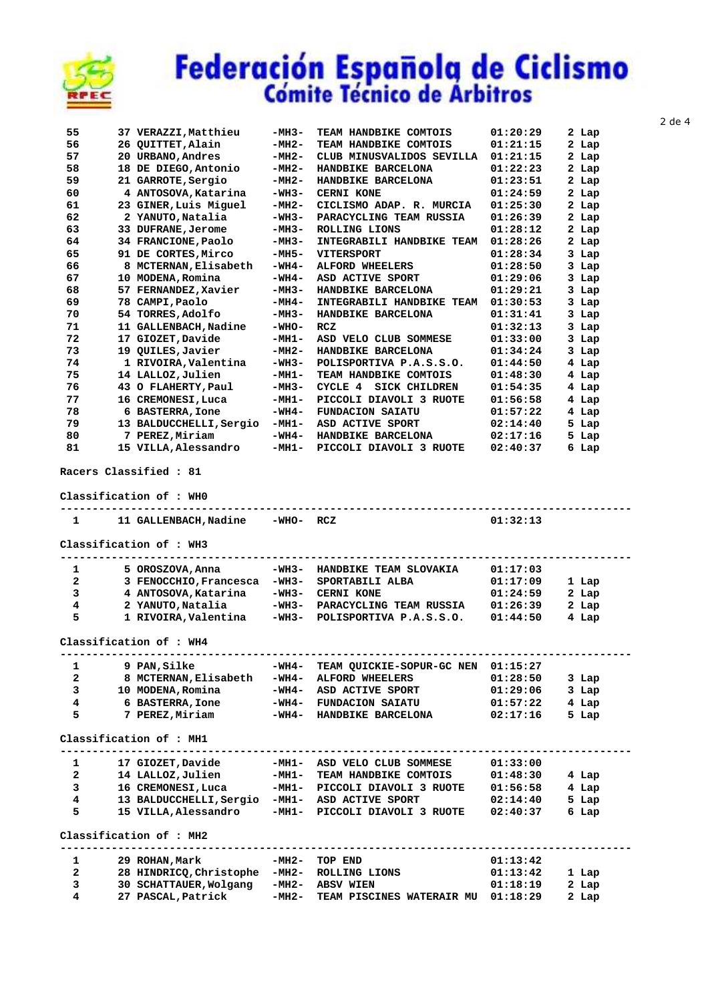

| 55 |     | 37 VERAZZI, Matthieu    | $-MH3-$ | TEAM HANDBIKE COMTOIS           | 01:20:29 | 2 Lap    |
|----|-----|-------------------------|---------|---------------------------------|----------|----------|
| 56 | 26  | OUITTET, Alain          | $-MH2-$ | TEAM HANDBIKE COMTOIS           | 01:21:15 | 2 Lap    |
| 57 | 20  | URBANO, Andres          | $-MH2-$ | CLUB MINUSVALIDOS SEVILLA       | 01:21:15 | 2 Lap    |
| 58 | 18  | DE DIEGO, Antonio       | $-MH2-$ | HANDBIKE BARCELONA              | 01:22:23 | 2 Lap    |
| 59 | 21  | GARROTE, Sergio         | $-MH2-$ | HANDBIKE BARCELONA              | 01:23:51 | 2 Lap    |
| 60 |     | 4 ANTOSOVA, Katarina    | $-WH3-$ | <b>CERNI KONE</b>               | 01:24:59 | 2 Lap    |
| 61 | 23  | GINER, Luis Miguel      | $-MH2-$ | CICLISMO ADAP. R. MURCIA        | 01:25:30 | 2<br>Lap |
| 62 |     | 2 YANUTO, Natalia       | $-WH3-$ | PARACYCLING TEAM RUSSIA         | 01:26:39 | 2 Lap    |
| 63 | 33. | <b>DUFRANE, Jerome</b>  | $-MH3-$ | <b>ROLLING LIONS</b>            | 01:28:12 | 2 Lap    |
| 64 |     | 34 FRANCIONE, Paolo     | $-MH3-$ | INTEGRABILI HANDBIKE TEAM       | 01:28:26 | 2 Lap    |
| 65 | 91  | DE CORTES, Mirco        | $-MH5-$ | <b>VITERSPORT</b>               | 01:28:34 | 3 Lap    |
| 66 | 8   | MCTERNAN, Elisabeth     | $-WH4-$ | <b>ALFORD WHEELERS</b>          | 01:28:50 | 3 Lap    |
| 67 | 10  | MODENA, Romina          | $-WH4-$ | ASD ACTIVE SPORT                | 01:29:06 | 3<br>Lap |
| 68 | 57  | FERNANDEZ, Xavier       | -MH3-   | HANDBIKE BARCELONA              | 01:29:21 | 3 Lap    |
| 69 | 78  | CAMPI, Paolo            | $-MH4-$ | INTEGRABILI HANDBIKE<br>TEAM    | 01:30:53 | 3 Lap    |
| 70 | 54  | TORRES, Adolfo          | $-MH3-$ | HANDBIKE BARCELONA              | 01:31:41 | 3 Lap    |
| 71 | 11  | GALLENBACH, Nadine      | $-WHO-$ | <b>RCZ</b>                      | 01:32:13 | 3 Lap    |
| 72 | 17  | GIOZET, Davide          | $-MH1-$ | ASD VELO CLUB SOMMESE           | 01:33:00 | 3 Lap    |
| 73 | 19  | OUILES, Javier          | $-MH2-$ | HANDBIKE BARCELONA              | 01:34:24 | 3 Lap    |
| 74 |     | 1 RIVOIRA, Valentina    | -WH3-   | POLISPORTIVA P.A.S.S.O.         | 01:44:50 | 4 Lap    |
| 75 |     | 14 LALLOZ, Julien       | $-MH1-$ | TEAM HANDBIKE COMTOIS           | 01:48:30 | 4 Lap    |
| 76 | 43  | O FLAHERTY, Paul        | $-MH3-$ | CYCLE 4<br><b>SICK CHILDREN</b> | 01:54:35 | 4 Lap    |
| 77 | 16  | CREMONESI, Luca         | $-MH1-$ | PICCOLI DIAVOLI 3 RUOTE         | 01:56:58 | 4 Lap    |
| 78 | 6   | <b>BASTERRA, Ione</b>   | $-WH4-$ | <b>FUNDACION SAIATU</b>         | 01:57:22 | 4 Lap    |
| 79 |     | 13 BALDUCCHELLI, Sergio | $-MH1-$ | ASD ACTIVE SPORT                | 02:14:40 | 5<br>Lap |
| 80 |     | 7 PEREZ.Miriam          | $-WH4-$ | HANDBIKE BARCELONA              | 02:17:16 | 5<br>Lap |
| 81 |     | 15 VILLA, Alessandro    | $-MH1-$ | PICCOLI DIAVOLI 3 RUOTE         | 02:40:37 | 6<br>Lap |
|    |     |                         |         |                                 |          |          |

 **Racers Classified : 81** 

 **Classification of : WH0** 

| $1 \quad \cdots$        | 11 GALLENBACH, Nadine                          | -WHO- RCZ |                                        | 01:32:13 |         |
|-------------------------|------------------------------------------------|-----------|----------------------------------------|----------|---------|
|                         | Classification of : WH3                        |           |                                        |          |         |
| 1                       | 5 OROSZOVA, Anna                               | -WH3-     | HANDBIKE TEAM SLOVAKIA                 | 01:17:03 |         |
| $\overline{a}$          | 3 FENOCCHIO, Francesca                         | -WH3-     | SPORTABILI ALBA                        | 01:17:09 | 1 Lap   |
| 3                       | 4 ANTOSOVA, Katarina                           |           | -WH3- CERNI KONE                       | 01:24:59 | $2$ Lap |
| $\overline{\mathbf{4}}$ | 2 YANUTO,Natalia                               |           | -WH3- PARACYCLING TEAM RUSSIA 01:26:39 |          | 2 Lap   |
| 5                       | 1 RIVOIRA,Valentina                            |           | -WH3- POLISPORTIVA P.A.S.S.O.          | 01:44:50 | 4 Lap   |
|                         | Classification of : WH4                        |           |                                        |          |         |
| 1                       | 9 PAN,Silke                                    | -WH4-     | TEAM QUICKIE-SOPUR-GC NEN 01:15:27     |          |         |
| $\overline{a}$          | 8 MCTERNAN,Elisabeth                           |           | -WH4- ALFORD WHEELERS                  | 01:28:50 | $3$ Lap |
| $\overline{3}$          | 10 MODENA, Romina                              | -WH4-     | ASD ACTIVE SPORT                       | 01:29:06 | 3 Lap   |
| 4                       | <b>6 BASTERRA, Ione</b>                        | -WH4-     | <b>FUNDACION SAIATU</b>                | 01:57:22 | 4 Lap   |
| 5                       | 7 PEREZ, Miriam                                |           | -WH4- HANDBIKE BARCELONA               | 02:17:16 | 5 Lap   |
|                         | Classification of : MH1                        |           |                                        |          |         |
| 1                       | 17 GIOZET, Davide                              |           | -MH1- ASD VELO CLUB SOMMESE            | 01:33:00 |         |
| $\overline{a}$          | 14 LALLOZ, Julien -MH1-                        |           | TEAM HANDBIKE COMTOIS                  | 01:48:30 | 4 Lap   |
| 3                       | 16 CREMONESI, Luca                             |           | -MH1- PICCOLI DIAVOLI 3 RUOTE          | 01:56:58 | 4 Lap   |
| $\overline{\mathbf{4}}$ | 13 BALDUCCHELLI, Sergio -MH1- ASD ACTIVE SPORT |           |                                        | 02:14:40 | 5 Lap   |
| 5                       | 15 VILLA, Alessandro                           |           | -MH1- PICCOLI DIAVOLI 3 RUOTE          | 02:40:37 | 6 Lap   |
|                         | Classification of : MH2                        |           | ------------------------------         |          |         |
| $\mathbf{1}$            | 29 ROHAN, Mark                                 | -MH2-     | TOP END                                | 01:13:42 |         |
| $\overline{a}$          | 28 HINDRICQ, Christophe -MH2-                  |           | ROLLING LIONS                          | 01:13:42 | 1 Lap   |
| 3                       | 30 SCHATTAUER, Wolgang                         |           | -MH2- ABSV WIEN                        | 01:18:19 | 2 Lap   |

 **4 27 PASCAL,Patrick -MH2- TEAM PISCINES WATERAIR MU 01:18:29 2 Lap**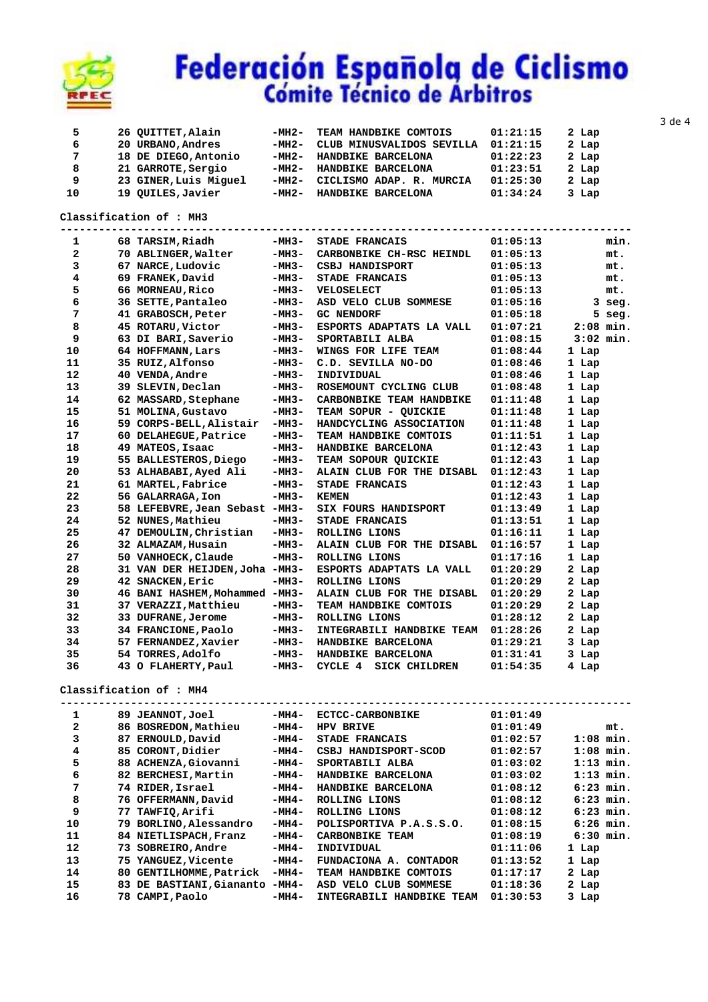

| 5  | 26 QUITTET, Alain     | -MH2- | TEAM HANDBIKE COMTOIS     | 01:21:15 | 2 Lap |
|----|-----------------------|-------|---------------------------|----------|-------|
| 6  | 20 URBANO, Andres     | -MH2- | CLUB MINUSVALIDOS SEVILLA | 01:21:15 | 2 Lap |
| 7  | 18 DE DIEGO, Antonio  | -MH2- | HANDBIKE BARCELONA        | 01:22:23 | 2 Lap |
| 8  | 21 GARROTE, Sergio    | -MH2- | HANDBIKE BARCELONA        | 01:23:51 | 2 Lap |
| 9  | 23 GINER, Luis Miguel | -MH2- | CICLISMO ADAP. R. MURCIA  | 01:25:30 | 2 Lap |
| 10 | 19 QUILES, Javier     | -MH2- | HANDBIKE BARCELONA        | 01:34:24 | 3 Lap |

### **Classification of : MH3**

| 1            | 68 TARSIM, Riadh               | -MH3-   | STADE FRANCAIS                  | 01:05:13 | min.        |
|--------------|--------------------------------|---------|---------------------------------|----------|-------------|
| $\mathbf{2}$ | 70 ABLINGER, Walter            | -MH3-   | CARBONBIKE CH-RSC HEINDL        | 01:05:13 | mt.         |
| 3            | 67 NARCE, Ludovic              | $-MH3-$ | CSBJ HANDISPORT                 | 01:05:13 | mt.         |
| 4            | 69 FRANEK, David               | $-MH3-$ | STADE FRANCAIS                  | 01:05:13 | mt.         |
| 5            | 66 MORNEAU, Rico               | $-MH3-$ | <b>VELOSELECT</b>               | 01:05:13 | mt.         |
| 6            | 36 SETTE, Pantaleo             | $-MH3-$ | ASD VELO CLUB SOMMESE           | 01:05:16 | $3$ seg.    |
| 7            | 41 GRABOSCH, Peter             | $-MH3-$ | <b>GC NENDORF</b>               | 01:05:18 | $5$ seg.    |
| 8            | 45 ROTARU, Victor              | $-MH3-$ | ESPORTS ADAPTATS LA VALL        | 01:07:21 | $2:08$ min. |
| 9            | 63 DI BARI, Saverio            | $-MH3-$ | SPORTABILI ALBA                 | 01:08:15 | $3:02$ min. |
| 10           | 64 HOFFMANN, Lars              | $-MH3-$ | WINGS FOR LIFE TEAM             | 01:08:44 | 1 Lap       |
| 11           | 35 RUIZ, Alfonso               | $-MH3-$ | C.D. SEVILLA NO-DO              | 01:08:46 | 1 Lap       |
| 12           | 40 VENDA, Andre                | $-MH3-$ | INDIVIDUAL                      | 01:08:46 | 1 Lap       |
| 13           | 39 SLEVIN, Declan              | $-MH3-$ | ROSEMOUNT CYCLING CLUB          | 01:08:48 | 1 Lap       |
| 14           | 62 MASSARD, Stephane           | $-MH3-$ | CARBONBIKE TEAM HANDBIKE        | 01:11:48 | 1 Lap       |
| 15           | 51 MOLINA, Gustavo             | $-MH3-$ | TEAM SOPUR - QUICKIE            | 01:11:48 | 1 Lap       |
| 16           | 59 CORPS-BELL, Alistair        | $-MH3-$ | HANDCYCLING ASSOCIATION         | 01:11:48 | 1 Lap       |
| 17           | 60 DELAHEGUE, Patrice          | $-MH3-$ | TEAM HANDBIKE COMTOIS           | 01:11:51 | 1 Lap       |
| 18           | 49 MATEOS, Isaac               | $-MH3-$ | HANDBIKE BARCELONA              | 01:12:43 | 1 Lap       |
| 19           | 55 BALLESTEROS, Diego          | $-MH3-$ | TEAM SOPOUR QUICKIE             | 01:12:43 | 1 Lap       |
| 20           | 53 ALHABABI, Ayed Ali          | $-MH3-$ | ALAIN CLUB FOR THE DISABL       | 01:12:43 | 1 Lap       |
| 21           | 61 MARTEL, Fabrice             | $-MH3-$ | <b>STADE FRANCAIS</b>           | 01:12:43 | 1 Lap       |
| 22           | 56 GALARRAGA, Ion              | $-MH3-$ | <b>KEMEN</b>                    | 01:12:43 | 1 Lap       |
| 23           | 58 LEFEBVRE, Jean Sebast -MH3- |         | SIX FOURS HANDISPORT            | 01:13:49 | 1 Lap       |
| 24           | 52 NUNES, Mathieu              | -MH3-   | STADE FRANCAIS                  | 01:13:51 | 1 Lap       |
| 25           | 47 DEMOULIN, Christian         | -MH3-   | ROLLING LIONS                   | 01:16:11 | 1 Lap       |
| 26           | 32 ALMAZAM, Husain             | -MH3-   | ALAIN CLUB FOR THE DISABL       | 01:16:57 | 1 Lap       |
| 27           | 50 VANHOECK, Claude            | -MH3-   | ROLLING LIONS                   | 01:17:16 | 1 Lap       |
| 28           | 31 VAN DER HEIJDEN, Joha -MH3- |         | ESPORTS ADAPTATS LA VALL        | 01:20:29 | 2 Lap       |
| 29           | 42 SNACKEN, Eric               | $-MH3-$ | ROLLING LIONS                   | 01:20:29 | 2 Lap       |
| 30           | 46 BANI HASHEM, Mohammed -MH3- |         | ALAIN CLUB FOR THE DISABL       | 01:20:29 | 2 Lap       |
| 31           | 37 VERAZZI, Matthieu           | $-MH3-$ | TEAM HANDBIKE COMTOIS           | 01:20:29 | 2 Lap       |
| 32           | 33 DUFRANE, Jerome             | -MH3-   | ROLLING LIONS                   | 01:28:12 | 2 Lap       |
| 33           | 34 FRANCIONE, Paolo            | -MH3-   | INTEGRABILI HANDBIKE TEAM       | 01:28:26 | 2 Lap       |
| 34           | 57 FERNANDEZ, Xavier           | -мнз-   | HANDBIKE BARCELONA              | 01:29:21 | 3 Lap       |
| 35           | 54 TORRES,Adolfo               | -MH3-   | HANDBIKE BARCELONA              | 01:31:41 | 3 Lap       |
| 36           | 43 O FLAHERTY, Paul            | -MH3-   | CYCLE 4<br><b>SICK CHILDREN</b> | 01:54:35 | 4 Lap       |

### **Classification of : MH4**

| 1            | 89. | <b>JEANNOT,Joel</b>      | -MH4-   | <b>ECTCC-CARBONBIKE</b>   | 01:01:49 |             |
|--------------|-----|--------------------------|---------|---------------------------|----------|-------------|
| $\mathbf{2}$ |     | 86 BOSREDON, Mathieu     | -MH4-   | <b>HPV BRIVE</b>          | 01:01:49 | mt.         |
| 3            | 87  | ERNOULD, David           | -MH4-   | <b>STADE FRANCAIS</b>     | 01:02:57 | $1:08$ min. |
| 4            |     | 85 CORONT, Didier        | -MH4-   | CSBJ HANDISPORT-SCOD      | 01:02:57 | $1:08$ min. |
| 5            |     | 88 ACHENZA, Giovanni     | $-MH4-$ | SPORTABILI ALBA           | 01:03:02 | $1:13$ min. |
| 6            |     | 82 BERCHESI, Martin      | -MH4-   | HANDBIKE BARCELONA        | 01:03:02 | $1:13$ min. |
| 7            |     | 74 RIDER, Israel         | -MH4-   | HANDBIKE BARCELONA        | 01:08:12 | $6:23$ min. |
| 8            |     | 76 OFFERMANN, David      | $-MH4-$ | ROLLING LIONS             | 01:08:12 | $6:23$ min. |
| 9            | 77  | <b>TAWFIQ,Arifi</b>      | -MH4-   | ROLLING LIONS             | 01:08:12 | $6:23$ min. |
| 10           | 79. | BORLINO, Alessandro      | -MH4-   | POLISPORTIVA P.A.S.S.O.   | 01:08:15 | $6:26$ min. |
| 11           |     | 84 NIETLISPACH, Franz    | -MH4-   | <b>CARBONBIKE TEAM</b>    | 01:08:19 | $6:30$ min. |
| 12           | 73  | SOBREIRO, Andre          | $-MH4-$ | INDIVIDUAL                | 01:11:06 | 1 Lap       |
| 13           |     | 75 YANGUEZ, Vicente      | $-MH4-$ | FUNDACIONA A. CONTADOR    | 01:13:52 | 1 Lap       |
| 14           | 80. | GENTILHOMME, Patrick     | -MH4-   | TEAM HANDBIKE COMTOIS     | 01:17:17 | 2 Lap       |
| 15           |     | 83 DE BASTIANI, Giananto | -MH4-   | ASD VELO CLUB SOMMESE     | 01:18:36 | 2 Lap       |
| 16           |     | 78 CAMPI, Paolo          | $-MH4-$ | INTEGRABILI HANDBIKE TEAM | 01:30:53 | 3 Lap       |